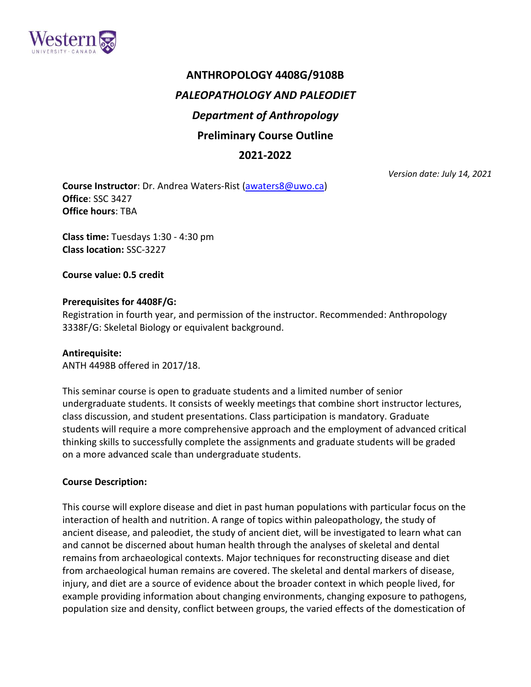

# **ANTHROPOLOGY 4408G/9108B** *PALEOPATHOLOGY AND PALEODIET Department of Anthropology* **Preliminary Course Outline**

## **2021-2022**

*Version date: July 14, 2021*

**Course Instructor**: Dr. Andrea Waters-Rist [\(awaters8@uwo.ca\)](about:blank) **Office**: SSC 3427 **Office hours**: TBA

**Class time:** Tuesdays 1:30 - 4:30 pm **Class location:** SSC-3227

**Course value: 0.5 credit**

## **Prerequisites for 4408F/G:**

Registration in fourth year, and permission of the instructor. Recommended: Anthropology 3338F/G: Skeletal Biology or equivalent background.

## **Antirequisite:**

ANTH 4498B offered in 2017/18.

This seminar course is open to graduate students and a limited number of senior undergraduate students. It consists of weekly meetings that combine short instructor lectures, class discussion, and student presentations. Class participation is mandatory. Graduate students will require a more comprehensive approach and the employment of advanced critical thinking skills to successfully complete the assignments and graduate students will be graded on a more advanced scale than undergraduate students.

## **Course Description:**

This course will explore disease and diet in past human populations with particular focus on the interaction of health and nutrition. A range of topics within paleopathology, the study of ancient disease, and paleodiet, the study of ancient diet, will be investigated to learn what can and cannot be discerned about human health through the analyses of skeletal and dental remains from archaeological contexts. Major techniques for reconstructing disease and diet from archaeological human remains are covered. The skeletal and dental markers of disease, injury, and diet are a source of evidence about the broader context in which people lived, for example providing information about changing environments, changing exposure to pathogens, population size and density, conflict between groups, the varied effects of the domestication of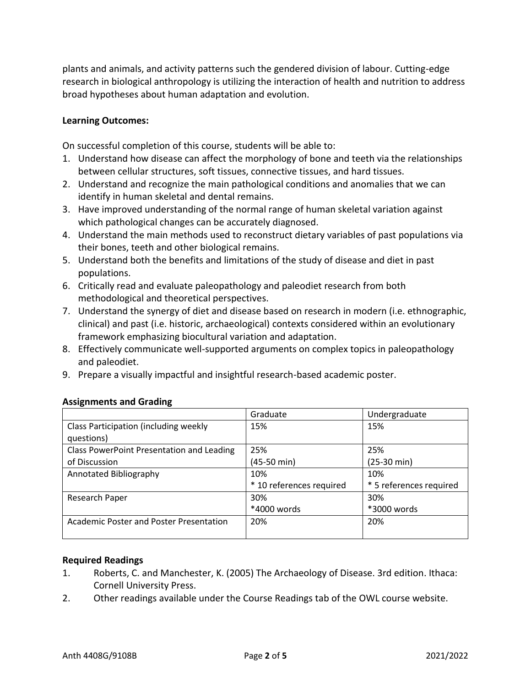plants and animals, and activity patterns such the gendered division of labour. Cutting-edge research in biological anthropology is utilizing the interaction of health and nutrition to address broad hypotheses about human adaptation and evolution.

#### **Learning Outcomes:**

On successful completion of this course, students will be able to:

- 1. Understand how disease can affect the morphology of bone and teeth via the relationships between cellular structures, soft tissues, connective tissues, and hard tissues.
- 2. Understand and recognize the main pathological conditions and anomalies that we can identify in human skeletal and dental remains.
- 3. Have improved understanding of the normal range of human skeletal variation against which pathological changes can be accurately diagnosed.
- 4. Understand the main methods used to reconstruct dietary variables of past populations via their bones, teeth and other biological remains.
- 5. Understand both the benefits and limitations of the study of disease and diet in past populations.
- 6. Critically read and evaluate paleopathology and paleodiet research from both methodological and theoretical perspectives.
- 7. Understand the synergy of diet and disease based on research in modern (i.e. ethnographic, clinical) and past (i.e. historic, archaeological) contexts considered within an evolutionary framework emphasizing biocultural variation and adaptation.
- 8. Effectively communicate well-supported arguments on complex topics in paleopathology and paleodiet.
- 9. Prepare a visually impactful and insightful research-based academic poster.

|                                                     | Graduate                 | Undergraduate           |
|-----------------------------------------------------|--------------------------|-------------------------|
| Class Participation (including weekly<br>questions) | 15%                      | 15%                     |
| Class PowerPoint Presentation and Leading           | 25%                      | 25%                     |
| of Discussion                                       | $(45-50 \text{ min})$    | $(25-30 \text{ min})$   |
| Annotated Bibliography                              | 10%                      | 10%                     |
|                                                     | * 10 references required | * 5 references required |
| Research Paper                                      | 30%                      | 30%                     |
|                                                     | *4000 words              | *3000 words             |
| Academic Poster and Poster Presentation             | 20%                      | 20%                     |

## **Assignments and Grading**

#### **Required Readings**

- 1. Roberts, C. and Manchester, K. (2005) The Archaeology of Disease. 3rd edition. Ithaca: Cornell University Press.
- 2. Other readings available under the Course Readings tab of the OWL course website.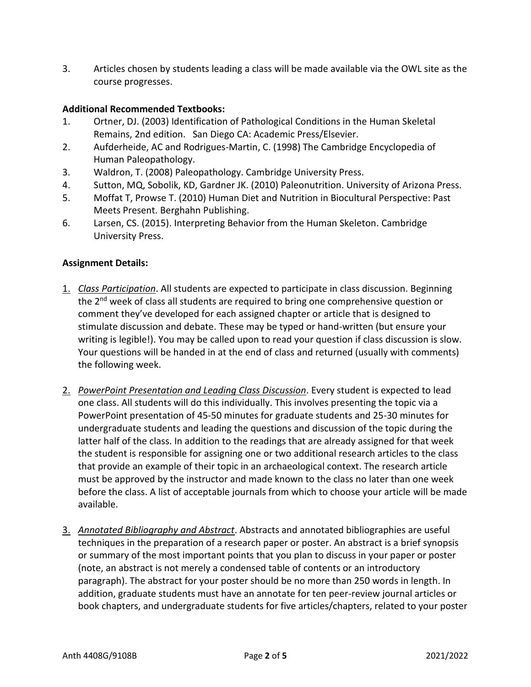3. Articles chosen by students leading a class will be made available via the OWL site as the course progresses.

## **Additional Recommended Textbooks:**

- 1. Ortner, DJ. (2003) Identification of Pathological Conditions in the Human Skeletal Remains, 2nd edition. San Diego CA: Academic Press/Elsevier.
- 2. Aufderheide, AC and Rodrigues-Martin, C. (1998) The Cambridge Encyclopedia of Human Paleopathology.
- 3. Waldron, T. (2008) Paleopathology. Cambridge University Press.
- 4. Sutton, MQ, Sobolik, KD, Gardner JK. (2010) Paleonutrition. University of Arizona Press.
- 5. Moffat T, Prowse T. (2010) Human Diet and Nutrition in Biocultural Perspective: Past Meets Present. Berghahn Publishing.
- 6. Larsen, CS. (2015). Interpreting Behavior from the Human Skeleton. Cambridge University Press.

#### **Assignment Details:**

- 1. *Class Participation*. All students are expected to participate in class discussion. Beginning the 2<sup>nd</sup> week of class all students are required to bring one comprehensive question or comment they've developed for each assigned chapter or article that is designed to stimulate discussion and debate. These may be typed or hand-written (but ensure your writing is legible!). You may be called upon to read your question if class discussion is slow. Your questions will be handed in at the end of class and returned (usually with comments) the following week.
- 2. *PowerPoint Presentation and Leading Class Discussion*. Every student is expected to lead one class. All students will do this individually. This involves presenting the topic via a PowerPoint presentation of 45-50 minutes for graduate students and 25-30 minutes for undergraduate students and leading the questions and discussion of the topic during the latter half of the class. In addition to the readings that are already assigned for that week the student is responsible for assigning one or two additional research articles to the class that provide an example of their topic in an archaeological context. The research article must be approved by the instructor and made known to the class no later than one week before the class. A list of acceptable journals from which to choose your article will be made available.
- 3. *Annotated Bibliography and Abstract*. Abstracts and annotated bibliographies are useful techniques in the preparation of a research paper or poster. An abstract is a brief synopsis or summary of the most important points that you plan to discuss in your paper or poster (note, an abstract is not merely a condensed table of contents or an introductory paragraph). The abstract for your poster should be no more than 250 words in length. In addition, graduate students must have an annotate for ten peer-review journal articles or book chapters, and undergraduate students for five articles/chapters, related to your poster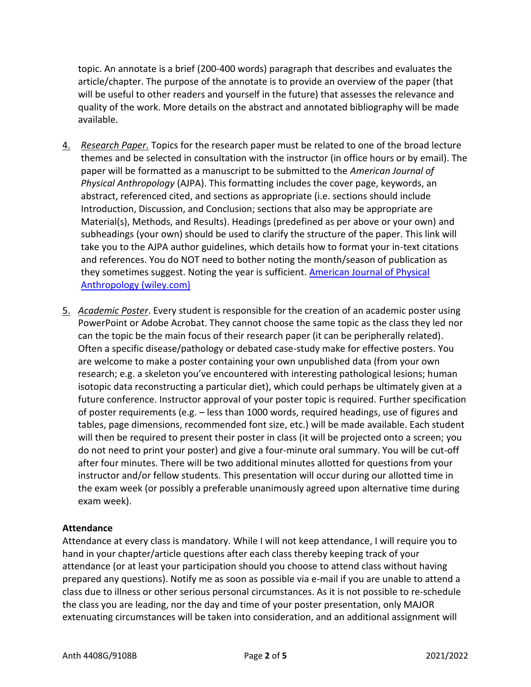topic. An annotate is a brief (200-400 words) paragraph that describes and evaluates the article/chapter. The purpose of the annotate is to provide an overview of the paper (that will be useful to other readers and yourself in the future) that assesses the relevance and quality of the work. More details on the abstract and annotated bibliography will be made available.

- 4. *Research Paper*. Topics for the research paper must be related to one of the broad lecture themes and be selected in consultation with the instructor (in office hours or by email). The paper will be formatted as a manuscript to be submitted to the *American Journal of Physical Anthropology* (AJPA). This formatting includes the cover page, keywords, an abstract, referenced cited, and sections as appropriate (i.e. sections should include Introduction, Discussion, and Conclusion; sections that also may be appropriate are Material(s), Methods, and Results). Headings (predefined as per above or your own) and subheadings (your own) should be used to clarify the structure of the paper. This link will take you to the AJPA author guidelines, which details how to format your in-text citations and references. You do NOT need to bother noting the month/season of publication as they sometimes suggest. Noting the year is sufficient. [American Journal of Physical](https://onlinelibrary.wiley.com/page/journal/10968644/homepage/forauthors.html)  [Anthropology \(wiley.com\)](https://onlinelibrary.wiley.com/page/journal/10968644/homepage/forauthors.html)
- 5. *Academic Poster*. Every student is responsible for the creation of an academic poster using PowerPoint or Adobe Acrobat. They cannot choose the same topic as the class they led nor can the topic be the main focus of their research paper (it can be peripherally related). Often a specific disease/pathology or debated case-study make for effective posters. You are welcome to make a poster containing your own unpublished data (from your own research; e.g. a skeleton you've encountered with interesting pathological lesions; human isotopic data reconstructing a particular diet), which could perhaps be ultimately given at a future conference. Instructor approval of your poster topic is required. Further specification of poster requirements (e.g. – less than 1000 words, required headings, use of figures and tables, page dimensions, recommended font size, etc.) will be made available. Each student will then be required to present their poster in class (it will be projected onto a screen; you do not need to print your poster) and give a four-minute oral summary. You will be cut-off after four minutes. There will be two additional minutes allotted for questions from your instructor and/or fellow students. This presentation will occur during our allotted time in the exam week (or possibly a preferable unanimously agreed upon alternative time during exam week).

## **Attendance**

Attendance at every class is mandatory. While I will not keep attendance, I will require you to hand in your chapter/article questions after each class thereby keeping track of your attendance (or at least your participation should you choose to attend class without having prepared any questions). Notify me as soon as possible via e-mail if you are unable to attend a class due to illness or other serious personal circumstances. As it is not possible to re-schedule the class you are leading, nor the day and time of your poster presentation, only MAJOR extenuating circumstances will be taken into consideration, and an additional assignment will